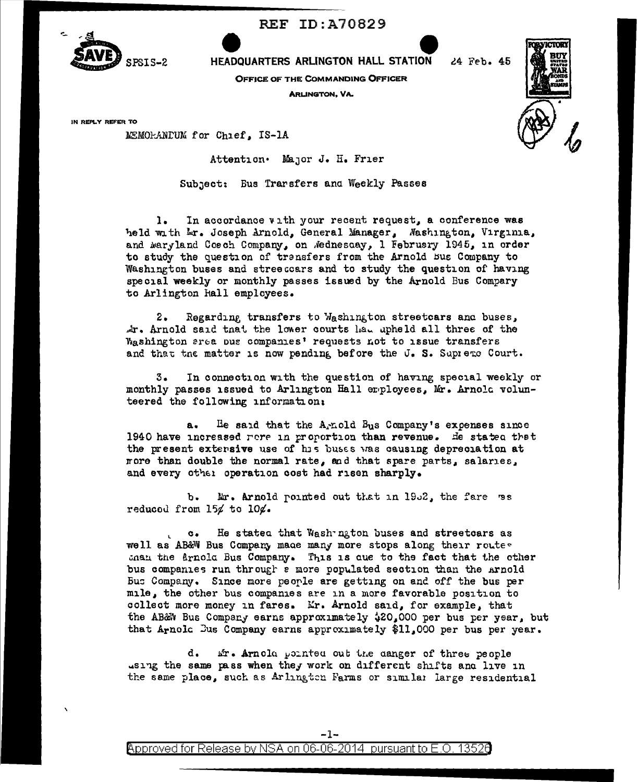

**REF ID: A70829** 

HEADQUARTERS ARLINGTON HALL STATION

OFFICE OF THE COMMANDING OFFICER

**ARLINGTON, VA.** 



24 Feb. 45

IN REPLY REFER TO

MEMORANDUM for Chief, IS-1A

Attention. Major J. H. Frier

Subject: Eus Transfers and Weekly Passes

In accordance with your recent request, a conference was  $\mathbf{1}$ . held with Lr. Joseph Arnold, General Manager, Washington, Virginia, and waryland Cosch Company, on Mednescay, 1 February 1945, in order to study the question of transfers from the Arnold Bus Company to Washington buses and streeccars and to study the question of having special weekly or monthly passes issued by the Arnold Bus Compary to Arlington hall employees.

Regarding transfers to Washington streetcars and buses,  $2.$ Ar. Arnold said that the lower courts had upheld all three of the Washington area pus companies' requests not to issue transfers and that the matter is now pending before the J. S. Supreme Court.

In connection with the question of having special weekly or з. monthly passes issued to Arlington Hall erployees, Mr. Arnola volunteered the following information:

He said that the A-nold Bus Company's expenses since 1940 have increased rere in proportion than revenue. He stated that the present extensive use of his buses was causing depreciation at nore than double the normal rate, and that spare parts, salaries, and every other operation cost had risen sharply.

Mr. Arnold pointed out that in 1952, the fare ws ъ. reduced from  $15/$  to  $10/$ .

He stated that Wash ngton buses and streetcars as  $\circ$ . well as AB&W Bus Company made many more stops along their route. shan the Arnold Bus Company. This is que to the fact that the other bus companies run through a more populated section than the Arnold Bus Company. Since more people are getting on and off the bus per mile, the other bus companies are in a more favorable position to collect more money in fares. Mr. Arnold said, for example, that the AB&W Bus Company earns approximately \$20,000 per bus per year, but that Arnold Dus Company earns approximately \$11,000 per bus per year.

ir. Arnola pointed out the danger of three people d. using the same pass when they work on different shifts and live in the same place, such as Arlington Farms or similar large residential



Approved for Release by NSA on 06-06-2014 pursuant to E.O. 13526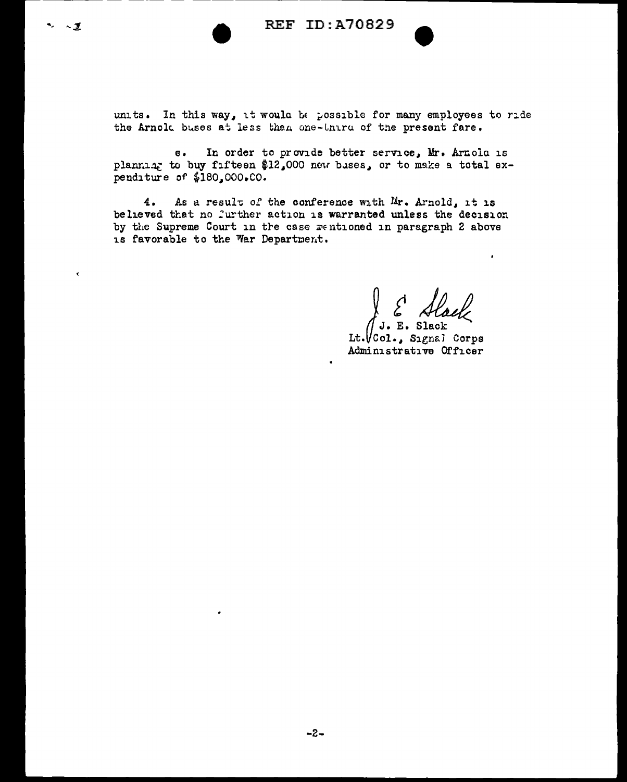$\sim$  1

k

units. In this way, it would be possible for many employees to ride the Arnold buses at less than one-third of the present fare.

In order to provide better service, Mr. Arnola is  $\ddot{\mathbf{e}}$ . planniar to buy fifteen \$12,000 new bases, or to make a total expenditure of \$180,000.CO.

As a result of the conference with Mr. Arnold, it is  $4.$ believed that no further action is warranted unless the decision by the Supreme Court in the case mentioned in paragraph 2 above is favorable to the War Department.

E Slack . E. Slack

 $It.  $\sqrt{Col. S1}$  S1$ Administrative Officer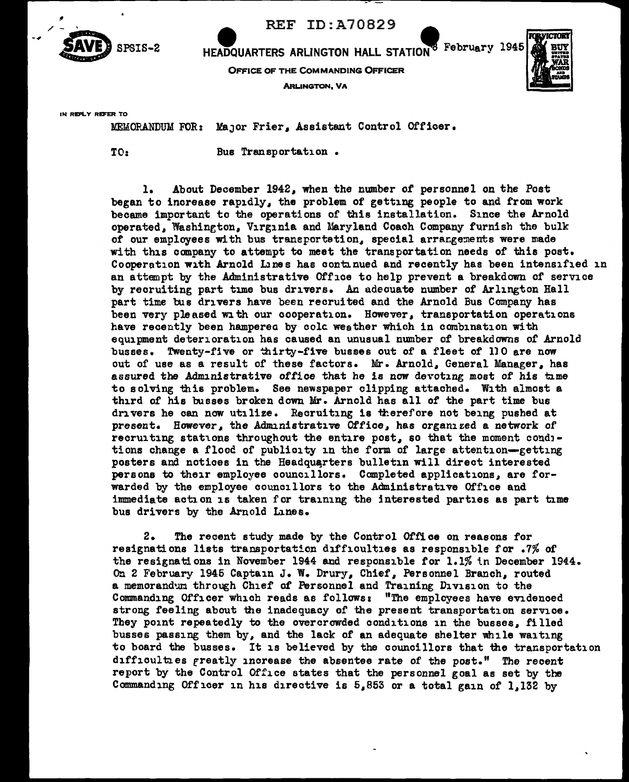

REF ID: A70829

HEADQUARTERS ARLINGTON HALL STATION<sup>8</sup> February 1945

OFFICE OF THE COMMANDING OFFICER

**ARLINGTON, VA** 



IN REPLY REFER TO

MEMORANDUM FOR: Major Frier, Assistant Control Officer.

TO: Bus Transportation •

1. About December 1942, when the number of personnel on the Post began to increase rapidly, the problem of getting people to and from work became important to the operations of this installation. Since the Arnold operated, Washington, Virginia and Maryland Coach Company furnish the bulk of our employees with bus transportetion, special arrangements were made with this company to attempt to meet the transportation needs of this post. Cooperation with Arnold Lines has continued and recently has been intensified in an attempt by the Administrative Office to help prevent a breakdovm of service by recruiting part time bus drivers. An adecuate number of Arlington Hall part time bus drivers have been recruited and the Arnold Bus Company has been very pleased with our cooperation. However, transportation operations have recently been hamperea by colc weather which in combination with equipment deterioration has caused an unusual number of breakdowns of Arnold busses. Twenty-five or thirty-five busses out of a fleet of 110 are now out of use as a result of these factors. Mr. Arnold, General Manager, has assured the Administrative office that he is now devoting most of his time to solving this problem. See newspaper clipping attached. With almost a third of his busses broken down Mr. Arnold has all of the part time bus drivers he can now utilize. Recruiting is therefore not being pushed at present. However, the Administrative Office, has organized a network of recruiting stations throughout the entire post, so that the moment conditions change a flood of publicity in the form of large attention-getting posters and notices in the Headquarters bulletin will direct interested persons to their employee councillors. Completed applications, are forwarded by the employee councillors to the Administrative Office and immediate action 1s taken for training the interested parties as part time bus drivers by the Arnold Lines.

2. The recent study made by the Control Office on reasons for resignations lists transportation difficulties as responsible for .7% of the resignations in November 1944 and responsible for 1.1% in December 1944. On 2 February 1946 Captain J. W. Drury, Chief, Personnel Branch, routed a memorandum through Chief of Personnel and Training Division to the Commanding Officer which reads as follows: "The employees have evidenced strong feeling about the inadequacy of the present transportation service. They point repeatedly to the overcrowded conditions in the busses, filled busses passing them by, and the lack of an adequate shelter while waiting to board the busses. It is believed by the councillors that the transportation difficulties rreatly increase the absentee rate of the post." The recent report by the Control Office states that the personnel goal as set by the Commanding Officer in his directive is  $5.853$  or a total gain of 1.132 by